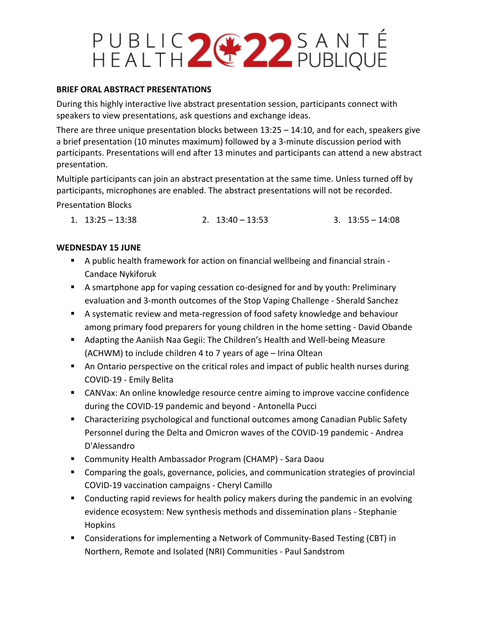### PUBLIC 2 22 SANTÉ

### **BRIEF ORAL ABSTRACT PRESENTATIONS**

During this highly interactive live abstract presentation session, participants connect with speakers to view presentations, ask questions and exchange ideas.

There are three unique presentation blocks between  $13:25 - 14:10$ , and for each, speakers give a brief presentation (10 minutes maximum) followed by a 3-minute discussion period with participants. Presentations will end after 13 minutes and participants can attend a new abstract presentation.

Multiple participants can join an abstract presentation at the same time. Unless turned off by participants, microphones are enabled. The abstract presentations will not be recorded.

Presentation Blocks

1.  $13:25 - 13:38$  2.  $13:40 - 13:53$  3.  $13:55 - 14:08$ 

### **WEDNESDAY 15 JUNE**

- A public health framework for action on financial wellbeing and financial strain Candace Nykiforuk
- A smartphone app for vaping cessation co-designed for and by youth: Preliminary evaluation and 3-month outcomes of the Stop Vaping Challenge - Sherald Sanchez
- A systematic review and meta-regression of food safety knowledge and behaviour among primary food preparers for young children in the home setting - David Obande
- Adapting the Aaniish Naa Gegii: The Children's Health and Well-being Measure (ACHWM) to include children 4 to 7 years of age – Irina Oltean
- An Ontario perspective on the critical roles and impact of public health nurses during COVID-19 - Emily Belita
- CANVax: An online knowledge resource centre aiming to improve vaccine confidence during the COVID-19 pandemic and beyond - Antonella Pucci
- Characterizing psychological and functional outcomes among Canadian Public Safety Personnel during the Delta and Omicron waves of the COVID-19 pandemic - Andrea D'Alessandro
- Community Health Ambassador Program (CHAMP) Sara Daou
- Comparing the goals, governance, policies, and communication strategies of provincial COVID-19 vaccination campaigns - Cheryl Camillo
- **Conducting rapid reviews for health policy makers during the pandemic in an evolving** evidence ecosystem: New synthesis methods and dissemination plans - Stephanie Hopkins
- Considerations for implementing a Network of Community-Based Testing (CBT) in Northern, Remote and Isolated (NRI) Communities - Paul Sandstrom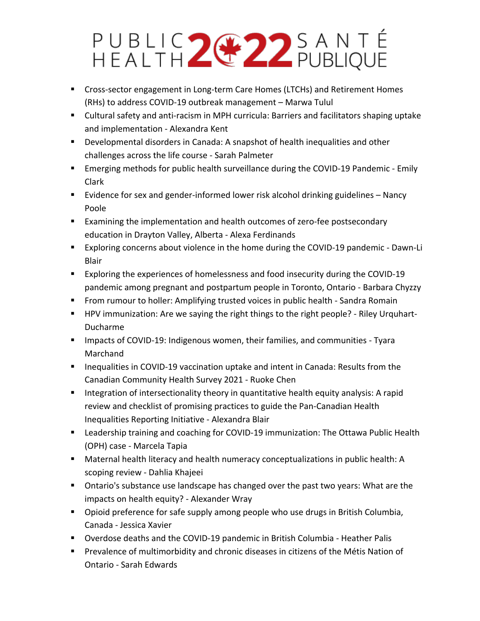# PUBLIC 2 22 SANTÉ

- Cross-sector engagement in Long-term Care Homes (LTCHs) and Retirement Homes (RHs) to address COVID-19 outbreak management – Marwa Tulul
- Cultural safety and anti-racism in MPH curricula: Barriers and facilitators shaping uptake and implementation - Alexandra Kent
- Developmental disorders in Canada: A snapshot of health inequalities and other challenges across the life course - Sarah Palmeter
- Emerging methods for public health surveillance during the COVID-19 Pandemic Emily Clark
- Evidence for sex and gender-informed lower risk alcohol drinking guidelines Nancy Poole
- **Examining the implementation and health outcomes of zero-fee postsecondary** education in Drayton Valley, Alberta - Alexa Ferdinands
- Exploring concerns about violence in the home during the COVID-19 pandemic Dawn-Li Blair
- **Exploring the experiences of homelessness and food insecurity during the COVID-19** pandemic among pregnant and postpartum people in Toronto, Ontario - Barbara Chyzzy
- **From rumour to holler: Amplifying trusted voices in public health Sandra Romain**
- **HPV** immunization: Are we saying the right things to the right people? Riley Urquhart-Ducharme
- **IMPACTED 19: Indigenous women, their families, and communities Tyara** Marchand
- **Inequalities in COVID-19 vaccination uptake and intent in Canada: Results from the** Canadian Community Health Survey 2021 - Ruoke Chen
- **Integration of intersectionality theory in quantitative health equity analysis: A rapid** review and checklist of promising practices to guide the Pan-Canadian Health Inequalities Reporting Initiative - Alexandra Blair
- Leadership training and coaching for COVID-19 immunization: The Ottawa Public Health (OPH) case - Marcela Tapia
- Maternal health literacy and health numeracy conceptualizations in public health: A scoping review - Dahlia Khajeei
- **Diance 1** Ontario's substance use landscape has changed over the past two years: What are the impacts on health equity? - Alexander Wray
- **Dianubity 1** Opioid preference for safe supply among people who use drugs in British Columbia, Canada - Jessica Xavier
- Overdose deaths and the COVID-19 pandemic in British Columbia Heather Palis
- **Prevalence of multimorbidity and chronic diseases in citizens of the Métis Nation of** Ontario - Sarah Edwards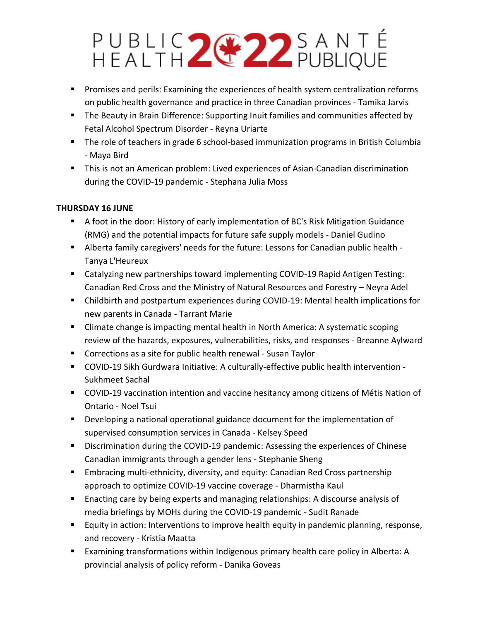# PUBLIC 2 22 SANTÉ

- **Promises and perils: Examining the experiences of health system centralization reforms** on public health governance and practice in three Canadian provinces - Tamika Jarvis
- **The Beauty in Brain Difference: Supporting Inuit families and communities affected by** Fetal Alcohol Spectrum Disorder - Reyna Uriarte
- **The role of teachers in grade 6 school-based immunization programs in British Columbia** - Maya Bird
- This is not an American problem: Lived experiences of Asian-Canadian discrimination during the COVID-19 pandemic - Stephana Julia Moss

### **THURSDAY 16 JUNE**

- A foot in the door: History of early implementation of BC's Risk Mitigation Guidance (RMG) and the potential impacts for future safe supply models - Daniel Gudino
- Alberta family caregivers' needs for the future: Lessons for Canadian public health Tanya L'Heureux
- Catalyzing new partnerships toward implementing COVID-19 Rapid Antigen Testing: Canadian Red Cross and the Ministry of Natural Resources and Forestry – Neyra Adel
- Childbirth and postpartum experiences during COVID-19: Mental health implications for new parents in Canada - Tarrant Marie
- **E** Climate change is impacting mental health in North America: A systematic scoping review of the hazards, exposures, vulnerabilities, risks, and responses - Breanne Aylward
- Corrections as a site for public health renewal Susan Taylor
- COVID-19 Sikh Gurdwara Initiative: A culturally-effective public health intervention Sukhmeet Sachal
- COVID-19 vaccination intention and vaccine hesitancy among citizens of Métis Nation of Ontario - Noel Tsui
- Developing a national operational guidance document for the implementation of supervised consumption services in Canada - Kelsey Speed
- **Discrimination during the COVID-19 pandemic: Assessing the experiences of Chinese** Canadian immigrants through a gender lens - Stephanie Sheng
- **Embracing multi-ethnicity, diversity, and equity: Canadian Red Cross partnership** approach to optimize COVID-19 vaccine coverage - Dharmistha Kaul
- Enacting care by being experts and managing relationships: A discourse analysis of media briefings by MOHs during the COVID-19 pandemic - Sudit Ranade
- **Equity in action: Interventions to improve health equity in pandemic planning, response,** and recovery - Kristia Maatta
- Examining transformations within Indigenous primary health care policy in Alberta: A provincial analysis of policy reform - Danika Goveas